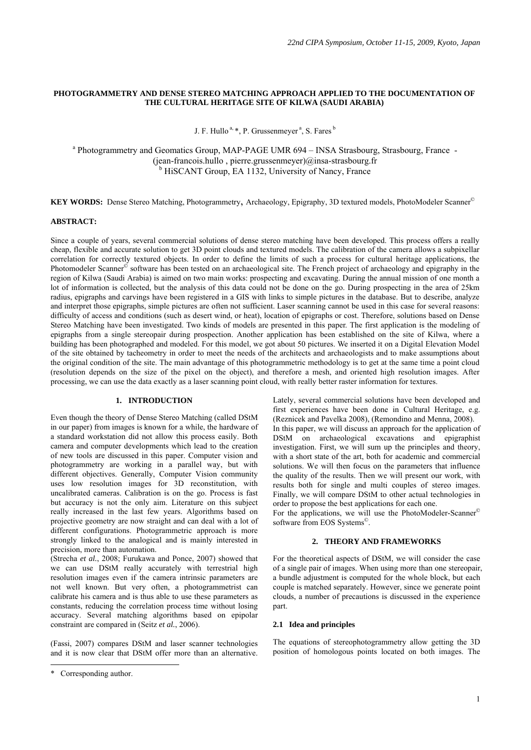## **PHOTOGRAMMETRY AND DENSE STEREO MATCHING APPROACH APPLIED TO THE DOCUMENTATION OF THE CULTURAL HERITAGE SITE OF KILWA (SAUDI ARABIA)**

J. F. Hullo<sup> $a, *$ </sup>, P. Grussenmeyer<sup> $a$ </sup>, S. Fares<sup>b</sup>

<sup>a</sup> Photogrammetry and Geomatics Group, MAP-PAGE UMR 694 - INSA Strasbourg, Strasbourg, France -(jean-francois.hullo , pierre.grussenmeyer)@insa-strasbourg.fr <sup>b</sup> HiSCANT Group, EA 1132, University of Nancy, France

**KEY WORDS:** Dense Stereo Matching, Photogrammetry, Archaeology, Epigraphy, 3D textured models, PhotoModeler Scanner<sup>©</sup>

## **ABSTRACT:**

Since a couple of years, several commercial solutions of dense stereo matching have been developed. This process offers a really cheap, flexible and accurate solution to get 3D point clouds and textured models. The calibration of the camera allows a subpixellar correlation for correctly textured objects. In order to define the limits of such a process for cultural heritage applications, the Photomodeler Scanner<sup>®</sup> software has been tested on an archaeological site. The French project of archaeology and epigraphy in the region of Kilwa (Saudi Arabia) is aimed on two main works: prospecting and excavating. During the annual mission of one month a lot of information is collected, but the analysis of this data could not be done on the go. During prospecting in the area of 25km radius, epigraphs and carvings have been registered in a GIS with links to simple pictures in the database. But to describe, analyze and interpret those epigraphs, simple pictures are often not sufficient. Laser scanning cannot be used in this case for several reasons: difficulty of access and conditions (such as desert wind, or heat), location of epigraphs or cost. Therefore, solutions based on Dense Stereo Matching have been investigated. Two kinds of models are presented in this paper. The first application is the modeling of epigraphs from a single stereopair during prospection. Another application has been established on the site of Kilwa, where a building has been photographed and modeled. For this model, we got about 50 pictures. We inserted it on a Digital Elevation Model of the site obtained by tacheometry in order to meet the needs of the architects and archaeologists and to make assumptions about the original condition of the site. The main advantage of this photogrammetric methodology is to get at the same time a point cloud (resolution depends on the size of the pixel on the object), and therefore a mesh, and oriented high resolution images. After processing, we can use the data exactly as a laser scanning point cloud, with really better raster information for textures.

#### **1. INTRODUCTION**

Even though the theory of Dense Stereo Matching (called DStM in our paper) from images is known for a while, the hardware of a standard workstation did not allow this process easily. Both camera and computer developments which lead to the creation of new tools are discussed in this paper. Computer vision and photogrammetry are working in a parallel way, but with different objectives. Generally, Computer Vision community uses low resolution images for 3D reconstitution, with uncalibrated cameras. Calibration is on the go. Process is fast but accuracy is not the only aim. Literature on this subject really increased in the last few years. Algorithms based on projective geometry are now straight and can deal with a lot of different configurations. Photogrammetric approach is more strongly linked to the analogical and is mainly interested in precision, more than automation.

(Strecha *et al.*, 2008; Furukawa and Ponce, 2007) showed that we can use DStM really accurately with terrestrial high resolution images even if the camera intrinsic parameters are not well known. But very often, a photogrammetrist can calibrate his camera and is thus able to use these parameters as constants, reducing the correlation process time without losing accuracy. Several matching algorithms based on epipolar constraint are compared in (Seitz *et al.*, 2006).

(Fassi, 2007) compares DStM and laser scanner technologies and it is now clear that DStM offer more than an alternative.

 $\overline{a}$ 

Lately, several commercial solutions have been developed and first experiences have been done in Cultural Heritage, e.g. (Reznicek and Pavelka 2008), (Remondino and Menna, 2008). In this paper, we will discuss an approach for the application of DStM on archaeological excavations and epigraphist investigation. First, we will sum up the principles and theory, with a short state of the art, both for academic and commercial solutions. We will then focus on the parameters that influence the quality of the results. Then we will present our work, with results both for single and multi couples of stereo images. Finally, we will compare DStM to other actual technologies in order to propose the best applications for each one.

For the applications, we will use the PhotoModeler-Scanner<sup>©</sup> software from EOS Systems©.

#### **2. THEORY AND FRAMEWORKS**

For the theoretical aspects of DStM, we will consider the case of a single pair of images. When using more than one stereopair, a bundle adjustment is computed for the whole block, but each couple is matched separately. However, since we generate point clouds, a number of precautions is discussed in the experience part.

## **2.1 Idea and principles**

The equations of stereophotogrammetry allow getting the 3D position of homologous points located on both images. The

<sup>\*</sup> Corresponding author.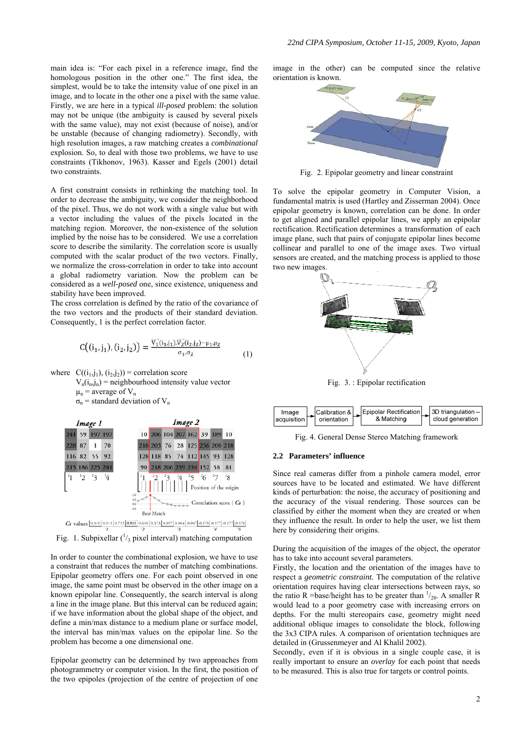main idea is: "For each pixel in a reference image, find the homologous position in the other one." The first idea, the simplest, would be to take the intensity value of one pixel in an image, and to locate in the other one a pixel with the same value. Firstly, we are here in a typical *ill-posed* problem: the solution may not be unique (the ambiguity is caused by several pixels with the same value), may not exist (because of noise), and/or be unstable (because of changing radiometry). Secondly, with high resolution images, a raw matching creates a *combinational* explosion. So, to deal with those two problems, we have to use constraints (Tikhonov, 1963). Kasser and Egels (2001) detail two constraints.

A first constraint consists in rethinking the matching tool. In order to decrease the ambiguity, we consider the neighborhood of the pixel. Thus, we do not work with a single value but with a vector including the values of the pixels located in the matching region. Moreover, the non-existence of the solution implied by the noise has to be considered. We use a correlation score to describe the similarity. The correlation score is usually computed with the scalar product of the two vectors. Finally, we normalize the cross-correlation in order to take into account a global radiometry variation. Now the problem can be considered as a *well-posed* one, since existence, uniqueness and stability have been improved.

The cross correlation is defined by the ratio of the covariance of the two vectors and the products of their standard deviation. Consequently, 1 is the perfect correlation factor.

$$
C((i_1, j_1), (i_2, j_2)) = \frac{\overline{V_1}(i_1, j_1).\overline{V_2}(i_2, j_2) - \mu_1, \mu_2}{\sigma_1, \sigma_2} \tag{1}
$$

where  $C((i_1,j_1),(i_2,j_2))$  = correlation score

 $V_n(i_n,j_n)$  = neighbourhood intensity value vector  $\mu_n$  = average of  $V_n$  $\sigma_n$  = standard deviation of V<sub>n</sub>



Fig. 1. Subpixellar  $\binom{1}{3}$  pixel interval) matching computation

In order to counter the combinational explosion, we have to use a constraint that reduces the number of matching combinations. Epipolar geometry offers one. For each point observed in one image, the same point must be observed in the other image on a known epipolar line. Consequently, the search interval is along a line in the image plane. But this interval can be reduced again; if we have information about the global shape of the object, and define a min/max distance to a medium plane or surface model, the interval has min/max values on the epipolar line. So the problem has become a one dimensional one.

Epipolar geometry can be determined by two approaches from photogrammetry or computer vision. In the first, the position of the two epipoles (projection of the centre of projection of one

image in the other) can be computed since the relative orientation is known.



Fig. 2. Epipolar geometry and linear constraint

To solve the epipolar geometry in Computer Vision, a fundamental matrix is used (Hartley and Zisserman 2004). Once epipolar geometry is known, correlation can be done. In order to get aligned and parallel epipolar lines, we apply an epipolar rectification. Rectification determines a transformation of each image plane, such that pairs of conjugate epipolar lines become collinear and parallel to one of the image axes. Two virtual sensors are created, and the matching process is applied to those two new images.



Fig. 3. : Epipolar rectification



Fig. 4. General Dense Stereo Matching framework

### **2.2 Parameters' influence**

Since real cameras differ from a pinhole camera model, error sources have to be located and estimated. We have different kinds of perturbation: the noise, the accuracy of positioning and the accuracy of the visual rendering. Those sources can be classified by either the moment when they are created or when they influence the result. In order to help the user, we list them here by considering their origins.

During the acquisition of the images of the object, the operator has to take into account several parameters.

Firstly, the location and the orientation of the images have to respect a *geometric constraint.* The computation of the relative orientation requires having clear intersections between rays, so the ratio R =base/height has to be greater than  $\frac{1}{20}$ . A smaller R would lead to a poor geometry case with increasing errors on depths. For the multi stereopairs case, geometry might need additional oblique images to consolidate the block, following the 3x3 CIPA rules. A comparison of orientation techniques are detailed in (Grussenmeyer and Al Khalil 2002).

Secondly, even if it is obvious in a single couple case, it is really important to ensure an *overlay* for each point that needs to be measured. This is also true for targets or control points.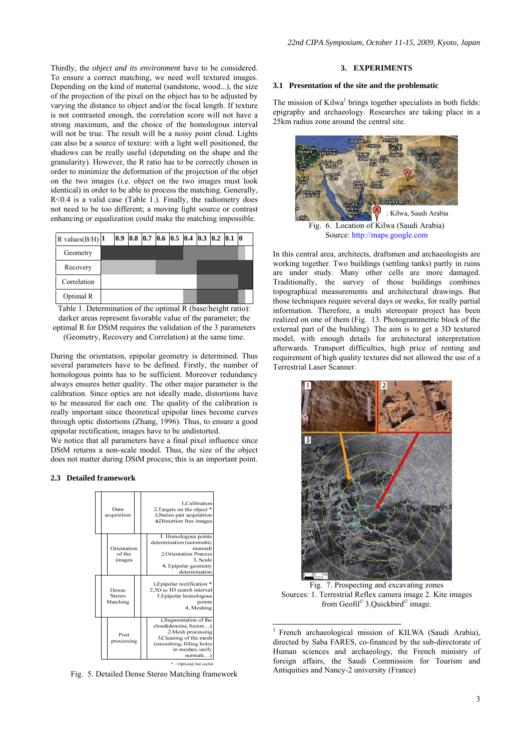Thirdly, the *object and its environment* have to be considered. To ensure a correct matching, we need well textured images. Depending on the kind of material (sandstone, wood...), the size of the projection of the pixel on the object has to be adjusted by varying the distance to object and/or the focal length. If texture is not contrasted enough, the correlation score will not have a strong maximum, and the choice of the homologous interval will not be true. The result will be a noisy point cloud. Lights can also be a source of texture: with a light well positioned, the shadows can be really useful (depending on the shape and the granularity). However, the R ratio has to be correctly chosen in order to minimize the deformation of the projection of the objet on the two images (i.e. object on the two images must look identical) in order to be able to process the matching. Generally, R<0.4 is a valid case (Table 1.). Finally, the radiometry does not need to be too different; a moving light source or contrast enhancing or equalization could make the matching impossible.

| R values $(B/H)$ 1 |  | $\vert 0.9 \vert 0.8 \vert 0.7 \vert 0.6 \vert 0.5 \vert 0.4 \vert 0.3 \vert 0.2 \vert 0.1 \vert 0$ |  |  |  |  |  |
|--------------------|--|-----------------------------------------------------------------------------------------------------|--|--|--|--|--|
| Geometry           |  |                                                                                                     |  |  |  |  |  |
| Recovery           |  |                                                                                                     |  |  |  |  |  |
| Correlation        |  |                                                                                                     |  |  |  |  |  |
| Optimal R          |  |                                                                                                     |  |  |  |  |  |

Table 1. Determination of the optimal R (base/height ratio): darker areas represent favorable value of the parameter; the optimal R for DStM requires the validation of the 3 parameters (Geometry, Recovery and Correlation) at the same time.

During the orientation, epipolar geometry is determined. Thus several parameters have to be defined. Firstly, the number of homologous points has to be sufficient. Moreover redundancy always ensures better quality. The other major parameter is the calibration. Since optics are not ideally made, distortions have to be measured for each one. The quality of the calibration is really important since theoretical epipolar lines become curves through optic distortions (Zhang, 1996). Thus, to ensure a good epipolar rectification, images have to be undistorted.

We notice that all parameters have a final pixel influence since DStM returns a non-scale model. Thus, the size of the object does not matter during DStM process; this is an important point.

#### **2.3 Detailed framework**



Fig. 5. Detailed Dense Stereo Matching framework

### **3. EXPERIMENTS**

#### **3.1 Presentation of the site and the problematic**

The mission of Kilwa<sup>1</sup> brings together specialists in both fields: epigraphy and archaeology. Researches are taking place in a 25km radius zone around the central site.



Fig. 6. Location of Kilwa (Saudi Arabia) Source: http://maps.google.com

In this central area, architects, draftsmen and archaeologists are working together. Two buildings (settling tanks) partly in ruins are under study. Many other cells are more damaged. Traditionally, the survey of those buildings combines topographical measurements and architectural drawings. But those techniques require several days or weeks, for really partial information. Therefore, a multi stereopair project has been realized on one of them (Fig. 13. Photogrammetric block of the external part of the building). The aim is to get a 3D textured model, with enough details for architectural interpretation afterwards. Transport difficulties, high price of renting and requirement of high quality textures did not allowed the use of a Terrestrial Laser Scanner.



Fig. 7. Prospecting and excavating zones Sources: 1. Terrestrial Reflex camera image 2. Kite images from Geofil<sup>©</sup> 3.Quickbird<sup>©</sup> image.

1

<sup>1</sup> French archaeological mission of KILWA (Saudi Arabia), directed by Saba FARES, co-financed by the sub-directorate of Human sciences and archaeology, the French ministry of foreign affairs, the Saudi Commission for Tourism and Antiquities and Nancy-2 university (France)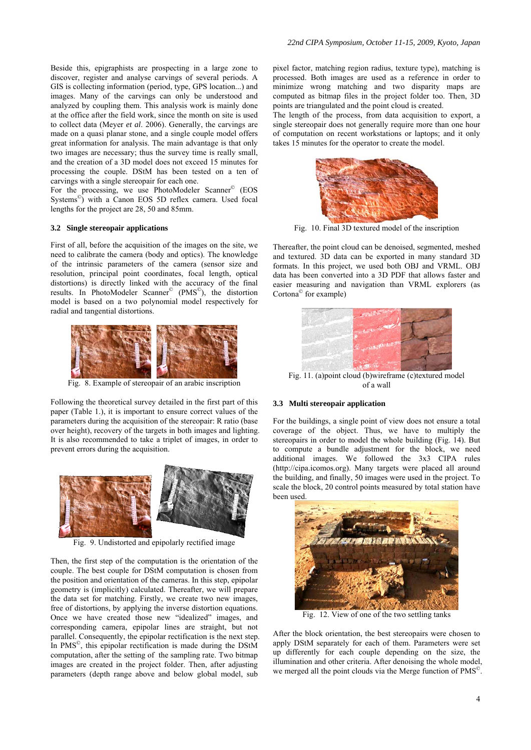Beside this, epigraphists are prospecting in a large zone to discover, register and analyse carvings of several periods. A GIS is collecting information (period, type, GPS location...) and images. Many of the carvings can only be understood and analyzed by coupling them. This analysis work is mainly done at the office after the field work, since the month on site is used to collect data (Meyer *et al*. 2006). Generally, the carvings are made on a quasi planar stone, and a single couple model offers great information for analysis. The main advantage is that only two images are necessary; thus the survey time is really small, and the creation of a 3D model does not exceed 15 minutes for processing the couple. DStM has been tested on a ten of carvings with a single stereopair for each one.

For the processing, we use PhotoModeler Scanner<sup>©</sup> (EOS Systems<sup>©</sup>) with a Canon EOS 5D reflex camera. Used focal lengths for the project are 28, 50 and 85mm.

### **3.2 Single stereopair applications**

First of all, before the acquisition of the images on the site, we need to calibrate the camera (body and optics). The knowledge of the intrinsic parameters of the camera (sensor size and resolution, principal point coordinates, focal length, optical distortions) is directly linked with the accuracy of the final results. In PhotoModeler Scanner© (PMS©), the distortion model is based on a two polynomial model respectively for radial and tangential distortions.



Fig. 8. Example of stereopair of an arabic inscription

Following the theoretical survey detailed in the first part of this paper (Table 1.), it is important to ensure correct values of the parameters during the acquisition of the stereopair: R ratio (base over height), recovery of the targets in both images and lighting. It is also recommended to take a triplet of images, in order to prevent errors during the acquisition.



Fig. 9. Undistorted and epipolarly rectified image

Then, the first step of the computation is the orientation of the couple. The best couple for DStM computation is chosen from the position and orientation of the cameras. In this step, epipolar geometry is (implicitly) calculated. Thereafter, we will prepare the data set for matching. Firstly, we create two new images, free of distortions, by applying the inverse distortion equations. Once we have created those new "idealized" images, and corresponding camera, epipolar lines are straight, but not parallel. Consequently, the epipolar rectification is the next step. In PMS©, this epipolar rectification is made during the DStM computation, after the setting of the sampling rate. Two bitmap images are created in the project folder. Then, after adjusting parameters (depth range above and below global model, sub

pixel factor, matching region radius, texture type), matching is processed. Both images are used as a reference in order to minimize wrong matching and two disparity maps are computed as bitmap files in the project folder too. Then, 3D points are triangulated and the point cloud is created.

The length of the process, from data acquisition to export, a single stereopair does not generally require more than one hour of computation on recent workstations or laptops; and it only takes 15 minutes for the operator to create the model.



Fig. 10. Final 3D textured model of the inscription

Thereafter, the point cloud can be denoised, segmented, meshed and textured. 3D data can be exported in many standard 3D formats. In this project, we used both OBJ and VRML. OBJ data has been converted into a 3D PDF that allows faster and easier measuring and navigation than VRML explorers (as Cortona© for example)



of a wall

### **3.3 Multi stereopair application**

For the buildings, a single point of view does not ensure a total coverage of the object. Thus, we have to multiply the stereopairs in order to model the whole building (Fig. 14). But to compute a bundle adjustment for the block, we need additional images. We followed the 3x3 CIPA rules (http://cipa.icomos.org). Many targets were placed all around the building, and finally, 50 images were used in the project. To scale the block, 20 control points measured by total station have been used.



Fig. 12. View of one of the two settling tanks

After the block orientation, the best stereopairs were chosen to apply DStM separately for each of them. Parameters were set up differently for each couple depending on the size, the illumination and other criteria. After denoising the whole model, we merged all the point clouds via the Merge function of PMS<sup>©</sup>.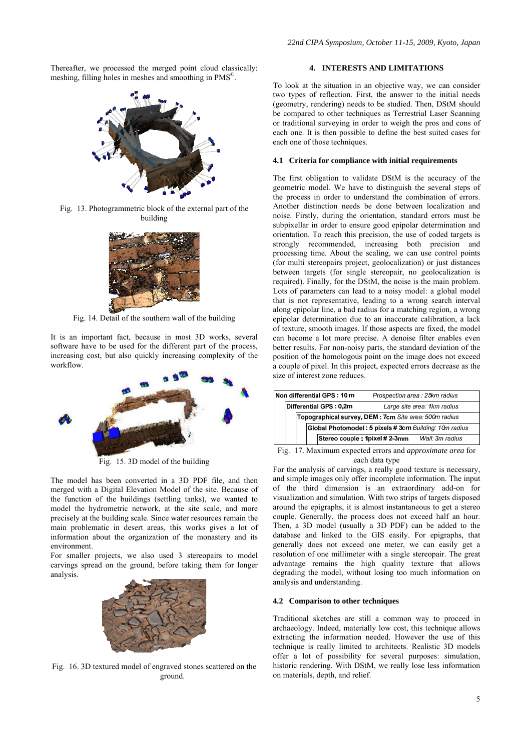Thereafter, we processed the merged point cloud classically: meshing, filling holes in meshes and smoothing in PMS©.



Fig. 13. Photogrammetric block of the external part of the building



Fig. 14. Detail of the southern wall of the building

It is an important fact, because in most 3D works, several software have to be used for the different part of the process, increasing cost, but also quickly increasing complexity of the workflow.



Fig. 15. 3D model of the building

The model has been converted in a 3D PDF file, and then merged with a Digital Elevation Model of the site. Because of the function of the buildings (settling tanks), we wanted to model the hydrometric network, at the site scale, and more precisely at the building scale. Since water resources remain the main problematic in desert areas, this works gives a lot of information about the organization of the monastery and its environment.

For smaller projects, we also used 3 stereopairs to model carvings spread on the ground, before taking them for longer analysis.



Fig. 16. 3D textured model of engraved stones scattered on the ground.

## **4. INTERESTS AND LIMITATIONS**

To look at the situation in an objective way, we can consider two types of reflection. First, the answer to the initial needs (geometry, rendering) needs to be studied. Then, DStM should be compared to other techniques as Terrestrial Laser Scanning or traditional surveying in order to weigh the pros and cons of each one. It is then possible to define the best suited cases for each one of those techniques.

# **4.1 Criteria for compliance with initial requirements**

The first obligation to validate DStM is the accuracy of the geometric model. We have to distinguish the several steps of the process in order to understand the combination of errors. Another distinction needs be done between localization and noise. Firstly, during the orientation, standard errors must be subpixellar in order to ensure good epipolar determination and orientation. To reach this precision, the use of coded targets is strongly recommended, increasing both precision and processing time. About the scaling, we can use control points (for multi stereopairs project, geolocalization) or just distances between targets (for single stereopair, no geolocalization is required). Finally, for the DStM, the noise is the main problem. Lots of parameters can lead to a noisy model: a global model that is not representative, leading to a wrong search interval along epipolar line, a bad radius for a matching region, a wrong epipolar determination due to an inaccurate calibration, a lack of texture, smooth images. If those aspects are fixed, the model can become a lot more precise. A denoise filter enables even better results. For non-noisy parts, the standard deviation of the position of the homologous point on the image does not exceed a couple of pixel. In this project, expected errors decrease as the size of interest zone reduces.

|  |  |  | Non differential GPS: 10 m                             |                                                       | Prospection area: 25km radius |  |  |  |  |
|--|--|--|--------------------------------------------------------|-------------------------------------------------------|-------------------------------|--|--|--|--|
|  |  |  | Differential GPS: 0,2m                                 |                                                       | Large site area: 1km radius   |  |  |  |  |
|  |  |  | Topographical survey, DEM : 7cm Site area: 500m radius |                                                       |                               |  |  |  |  |
|  |  |  |                                                        | Global Photomodel: 5 pixels #3cm Building: 10m radius |                               |  |  |  |  |
|  |  |  |                                                        | Stereo couple : 1pixel # 2-3mm                        | Wall: 3m radius               |  |  |  |  |

Fig. 17. Maximum expected errors and *approximate area* for each data type

For the analysis of carvings, a really good texture is necessary, and simple images only offer incomplete information. The input of the third dimension is an extraordinary add-on for visualization and simulation. With two strips of targets disposed around the epigraphs, it is almost instantaneous to get a stereo couple. Generally, the process does not exceed half an hour. Then, a 3D model (usually a 3D PDF) can be added to the database and linked to the GIS easily. For epigraphs, that generally does not exceed one meter, we can easily get a resolution of one millimeter with a single stereopair. The great advantage remains the high quality texture that allows degrading the model, without losing too much information on analysis and understanding.

#### **4.2 Comparison to other techniques**

Traditional sketches are still a common way to proceed in archaeology. Indeed, materially low cost, this technique allows extracting the information needed. However the use of this technique is really limited to architects. Realistic 3D models offer a lot of possibility for several purposes: simulation, historic rendering. With DStM, we really lose less information on materials, depth, and relief.